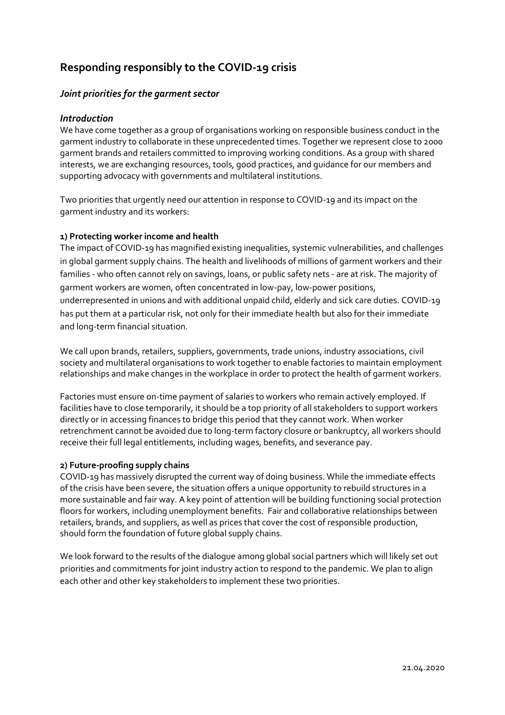# **Responding responsibly to the COVID-19 crisis**

## *Joint priorities for the garment sector*

#### *Introduction*

We have come together as a group of organisations working on responsible business conduct in the garment industry to collaborate in these unprecedented times. Together we represent close to 2000 garment brands and retailers committed to improving working conditions. As a group with shared interests, we are exchanging resources, tools, good practices, and guidance for our members and supporting advocacy with governments and multilateral institutions.

Two priorities that urgently need our attention in response to COVID-19 and its impact on the garment industry and its workers:

#### **1) Protecting worker income and health**

The impact of COVID-19 has magnified existing inequalities, systemic vulnerabilities, and challenges in global garment supply chains. The health and livelihoods of millions of garment workers and their families - who often cannot rely on savings, loans, or public safety nets - are at risk. The majority of garment workers are women, often concentrated in low-pay, low-power positions, underrepresented in unions and with additional unpaid child, elderly and sick care duties. COVID-19 has put them at a particular risk, not only for their immediate health but also for their immediate and long-term financial situation.

We call upon brands, retailers, suppliers, governments, trade unions, industry associations, civil society and multilateral organisations to work together to enable factories to maintain employment relationships and make changes in the workplace in order to protect the health of garment workers.

Factories must ensure on-time payment of salaries to workers who remain actively employed. If facilities have to close temporarily, it should be a top priority of all stakeholders to support workers directly or in accessing finances to bridge this period that they cannot work. When worker retrenchment cannot be avoided due to long-term factory closure or bankruptcy, all workers should receive their full legal entitlements, including wages, benefits, and severance pay.

#### **2) Future-proofing supply chains**

COVID-19 has massively disrupted the current way of doing business. While the immediate effects of the crisis have been severe, the situation offers a unique opportunity to rebuild structures in a more sustainable and fair way. A key point of attention will be building functioning social protection floors for workers, including unemployment benefits. Fair and collaborative relationships between retailers, brands, and suppliers, as well as prices that cover the cost of responsible production, should form the foundation of future global supply chains.

We look forward to the results of the dialogue among global social partners which will likely set out priorities and commitments for joint industry action to respond to the pandemic. We plan to align each other and other key stakeholders to implement these two priorities.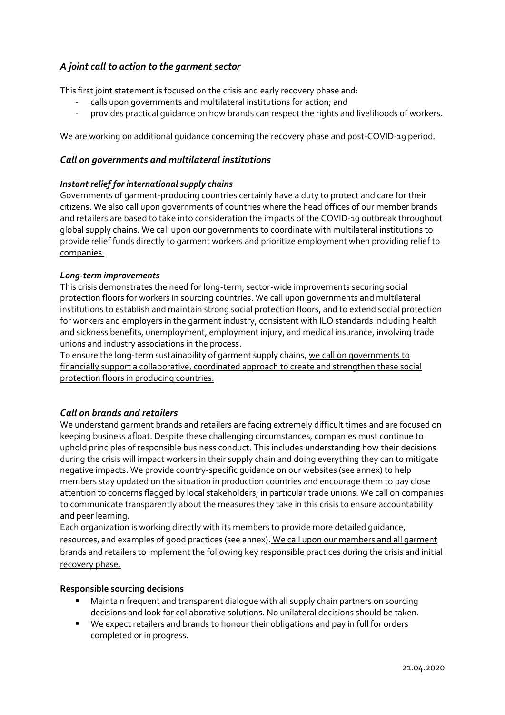# *A joint call to action to the garment sector*

This first joint statement is focused on the crisis and early recovery phase and:

- calls upon governments and multilateral institutions for action; and
- provides practical guidance on how brands can respect the rights and livelihoods of workers.

We are working on additional guidance concerning the recovery phase and post-COVID-19 period.

#### *Call on governments and multilateral institutions*

#### *Instant relief for international supply chains*

Governments of garment-producing countries certainly have a duty to protect and care for their citizens. We also call upon governments of countries where the head offices of our member brands and retailers are based to take into consideration the impacts of the COVID-19 outbreak throughout global supply chains. We call upon our governments to coordinate with multilateral institutions to provide relief funds directly to garment workers and prioritize employment when providing relief to companies.

#### *Long-term improvements*

This crisis demonstrates the need for long-term, sector-wide improvements securing social protection floors for workers in sourcing countries. We call upon governments and multilateral institutions to establish and maintain strong social protection floors, and to extend social protection for workers and employers in the garment industry, consistent with ILO standards including health and sickness benefits, unemployment, employment injury, and medical insurance, involving trade unions and industry associations in the process.

To ensure the long-term sustainability of garment supply chains, we call on governments to financially support a collaborative, coordinated approach to create and strengthen these social protection floors in producing countries.

### *Call on brands and retailers*

We understand garment brands and retailers are facing extremely difficult times and are focused on keeping business afloat. Despite these challenging circumstances, companies must continue to uphold principles of responsible business conduct. This includes understanding how their decisions during the crisis will impact workers in their supply chain and doing everything they can to mitigate negative impacts. We provide country-specific guidance on our websites (see annex) to help members stay updated on the situation in production countries and encourage them to pay close attention to concerns flagged by local stakeholders; in particular trade unions. We call on companies to communicate transparently about the measures they take in this crisis to ensure accountability and peer learning.

Each organization is working directly with its members to provide more detailed guidance, resources, and examples of good practices (see annex). We call upon our members and all garment brands and retailers to implement the following key responsible practices during the crisis and initial recovery phase.

#### **Responsible sourcing decisions**

- Maintain frequent and transparent dialogue with all supply chain partners on sourcing decisions and look for collaborative solutions. No unilateral decisions should be taken.
- We expect retailers and brands to honour their obligations and pay in full for orders completed or in progress.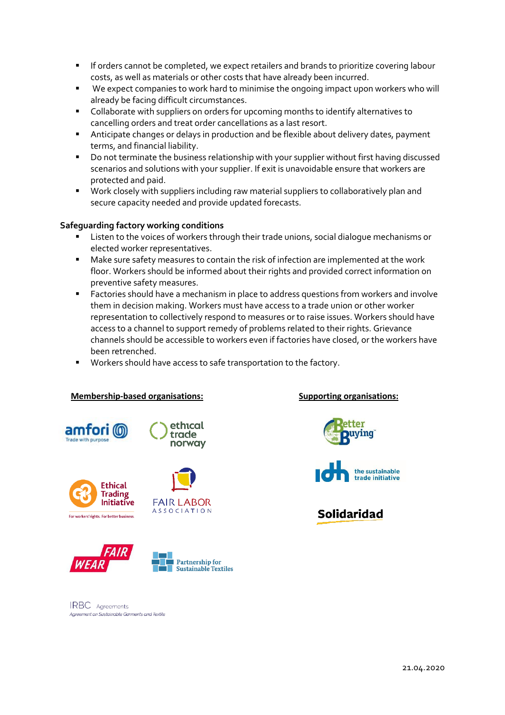- **EXP** If orders cannot be completed, we expect retailers and brands to prioritize covering labour costs, as well as materials or other costs that have already been incurred.
- We expect companies to work hard to minimise the ongoing impact upon workers who will already be facing difficult circumstances.
- Collaborate with suppliers on orders for upcoming months to identify alternatives to cancelling orders and treat order cancellations as a last resort.
- Anticipate changes or delays in production and be flexible about delivery dates, payment terms, and financial liability.
- Do not terminate the business relationship with your supplier without first having discussed scenarios and solutions with your supplier. If exit is unavoidable ensure that workers are protected and paid.
- Work closely with suppliers including raw material suppliers to collaboratively plan and secure capacity needed and provide updated forecasts.

#### **Safeguarding factory working conditions**

- Listen to the voices of workers through their trade unions, social dialogue mechanisms or elected worker representatives.
- Make sure safety measures to contain the risk of infection are implemented at the work floor. Workers should be informed about their rights and provided correct information on preventive safety measures.
- Factories should have a mechanism in place to address questions from workers and involve them in decision making. Workers must have access to a trade union or other worker representation to collectively respond to measures or to raise issues. Workers should have access to a channel to support remedy of problems related to their rights. Grievance channels should be accessible to workers even if factories have closed, or the workers have been retrenched.
- Workers should have access to safe transportation to the factory.

#### **Membership-based organisations: Supporting organisations:**





**FAIR LABOR** 

**ASSOCIATION** 











# **Solidaridad**

IRBC Agreements Agreement on Sustainable Carments and Teytile